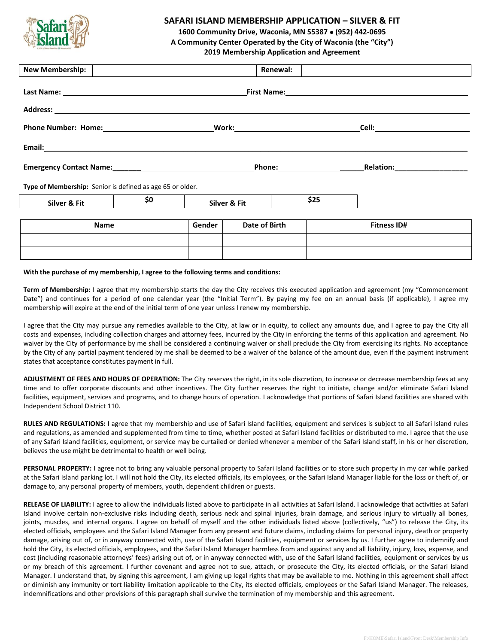

## **SAFARI ISLAND MEMBERSHIP APPLICATION – SILVER & FIT**

**1600 Community Drive, Waconia, MN 55387** • **(952) 442-0695**

**A Community Center Operated by the City of Waconia (the "City")**

**2019 Membership Application and Agreement**

| <b>New Membership:</b>                                                                                        |        | <b>Renewal:</b>                                                                                                                                                                |      |                                                                                                                                                                                                                                     |
|---------------------------------------------------------------------------------------------------------------|--------|--------------------------------------------------------------------------------------------------------------------------------------------------------------------------------|------|-------------------------------------------------------------------------------------------------------------------------------------------------------------------------------------------------------------------------------------|
| Last Name:                                                                                                    |        |                                                                                                                                                                                |      | <b>First Name:</b> The Company of the Company of the Company of the Company of the Company of the Company of the Company of the Company of the Company of the Company of the Company of the Company of the Company of the Company o |
|                                                                                                               |        |                                                                                                                                                                                |      |                                                                                                                                                                                                                                     |
| <b>Phone Number: Home:</b>                                                                                    |        | <b>Work: Work: Work: Work: Work: Work: Work: Work: Work: Work: Work: Work: Work: Work: Work: Work: Work: Work: Work: Work: Work: Work: Work: Work: Work: Work: Work: Work:</b> |      | Cell:                                                                                                                                                                                                                               |
| Email: Email: And All And All And All And All And All And All And All And All And All And All And All And All |        |                                                                                                                                                                                |      |                                                                                                                                                                                                                                     |
| Emergency Contact Name:<br><u>Land Contact Name:</u>                                                          |        | <b>Phone:</b>                                                                                                                                                                  |      | <b>Relation:</b>                                                                                                                                                                                                                    |
| Type of Membership: Senior is defined as age 65 or older.                                                     |        |                                                                                                                                                                                |      |                                                                                                                                                                                                                                     |
| \$0<br>Silver & Fit                                                                                           |        | Silver & Fit                                                                                                                                                                   | \$25 |                                                                                                                                                                                                                                     |
| Name                                                                                                          | Gender | Date of Birth                                                                                                                                                                  |      | <b>Fitness ID#</b>                                                                                                                                                                                                                  |
|                                                                                                               |        |                                                                                                                                                                                |      |                                                                                                                                                                                                                                     |

## **With the purchase of my membership, I agree to the following terms and conditions:**

**Term of Membership:** I agree that my membership starts the day the City receives this executed application and agreement (my "Commencement Date") and continues for a period of one calendar year (the "Initial Term"). By paying my fee on an annual basis (if applicable), I agree my membership will expire at the end of the initial term of one year unless I renew my membership.

I agree that the City may pursue any remedies available to the City, at law or in equity, to collect any amounts due, and I agree to pay the City all costs and expenses, including collection charges and attorney fees, incurred by the City in enforcing the terms of this application and agreement. No waiver by the City of performance by me shall be considered a continuing waiver or shall preclude the City from exercising its rights. No acceptance by the City of any partial payment tendered by me shall be deemed to be a waiver of the balance of the amount due, even if the payment instrument states that acceptance constitutes payment in full.

**ADJUSTMENT OF FEES AND HOURS OF OPERATION:** The City reserves the right, in its sole discretion, to increase or decrease membership fees at any time and to offer corporate discounts and other incentives. The City further reserves the right to initiate, change and/or eliminate Safari Island facilities, equipment, services and programs, and to change hours of operation. I acknowledge that portions of Safari Island facilities are shared with Independent School District 110.

**RULES AND REGULATIONS:** I agree that my membership and use of Safari Island facilities, equipment and services is subject to all Safari Island rules and regulations, as amended and supplemented from time to time, whether posted at Safari Island facilities or distributed to me. I agree that the use of any Safari Island facilities, equipment, or service may be curtailed or denied whenever a member of the Safari Island staff, in his or her discretion, believes the use might be detrimental to health or well being.

PERSONAL PROPERTY: I agree not to bring any valuable personal property to Safari Island facilities or to store such property in my car while parked at the Safari Island parking lot. I will not hold the City, its elected officials, its employees, or the Safari Island Manager liable for the loss or theft of, or damage to, any personal property of members, youth, dependent children or guests.

RELEASE OF LIABILITY: I agree to allow the individuals listed above to participate in all activities at Safari Island. I acknowledge that activities at Safari Island involve certain non-exclusive risks including death, serious neck and spinal injuries, brain damage, and serious injury to virtually all bones, joints, muscles, and internal organs. I agree on behalf of myself and the other individuals listed above (collectively, "us") to release the City, its elected officials, employees and the Safari Island Manager from any present and future claims, including claims for personal injury, death or property damage, arising out of, or in anyway connected with, use of the Safari Island facilities, equipment or services by us. I further agree to indemnify and hold the City, its elected officials, employees, and the Safari Island Manager harmless from and against any and all liability, injury, loss, expense, and cost (including reasonable attorneys' fees) arising out of, or in anyway connected with, use of the Safari Island facilities, equipment or services by us or my breach of this agreement. I further covenant and agree not to sue, attach, or prosecute the City, its elected officials, or the Safari Island Manager. I understand that, by signing this agreement, I am giving up legal rights that may be available to me. Nothing in this agreement shall affect or diminish any immunity or tort liability limitation applicable to the City, its elected officials, employees or the Safari Island Manager. The releases, indemnifications and other provisions of this paragraph shall survive the termination of my membership and this agreement.